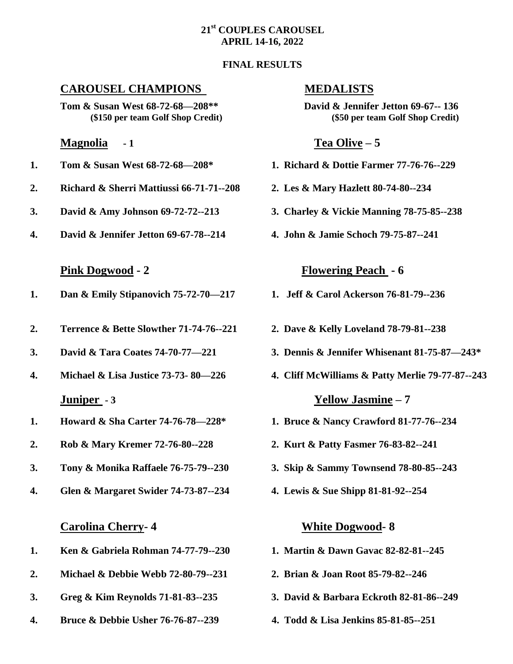### **21st COUPLES CAROUSEL APRIL 14-16, 2022**

### **FINAL RESULTS**

## **CAROUSEL CHAMPIONS MEDALISTS**

**Tom & Susan West 68-72-68—208\*\* David & Jennifer Jetton 69-67-- 136**

### **Magnolia - 1 Tea Olive – 5**

- 
- **2. Richard & Sherri Mattiussi 66-71-71--208 2. Les & Mary Hazlett 80-74-80--234**
- **3. David & Amy Johnson 69-72-72--213 3. Charley & Vickie Manning 78-75-85--238**
- **4. David & Jennifer Jetton 69-67-78--214 4. John & Jamie Schoch 79-75-87--241**

- **1. Dan & Emily Stipanovich 75-72-70—217 1. Jeff & Carol Ackerson 76-81-79--236**
- **2. Terrence & Bette Slowther 71-74-76--221 2. Dave & Kelly Loveland 78-79-81--238**
- 
- **Juniper - 3 Yellow Jasmine – 7**
- **1. Howard & Sha Carter 74-76-78—228\* 1. Bruce & Nancy Crawford 81-77-76--234**
- **2. Rob & Mary Kremer 72-76-80--228 2. Kurt & Patty Fasmer 76-83-82--241**
- **3. Tony & Monika Raffaele 76-75-79--230 3. Skip & Sammy Townsend 78-80-85--243**
- **4. Glen & Margaret Swider 74-73-87--234 4. Lewis & Sue Shipp 81-81-92--254**

### **Carolina Cherry- 4 White Dogwood- 8**

- **1. Ken & Gabriela Rohman 74-77-79--230 1. Martin & Dawn Gavac 82-82-81--245**
- **2. Michael & Debbie Webb 72-80-79--231 2. Brian & Joan Root 85-79-82--246**
- **3. Greg & Kim Reynolds 71-81-83--235 3. David & Barbara Eckroth 82-81-86--249**
- **4. Bruce & Debbie Usher 76-76-87--239 4. Todd & Lisa Jenkins 85-81-85--251**

**(\$150 per team Golf Shop Credit) (\$50 per team Golf Shop Credit)**

- **1. Tom & Susan West 68-72-68—208\* 1. Richard & Dottie Farmer 77-76-76--229**
	-
	-
	-

### **Pink Dogwood - 2 Flowering Peach - 6**

- 
- 
- **3. David & Tara Coates 74-70-77—221 3. Dennis & Jennifer Whisenant 81-75-87—243\***
- **4. Michael & Lisa Justice 73-73- 80—226 4. Cliff McWilliams & Patty Merlie 79-77-87--243**

- 
- 
- 
- 

- 
- 
- 
-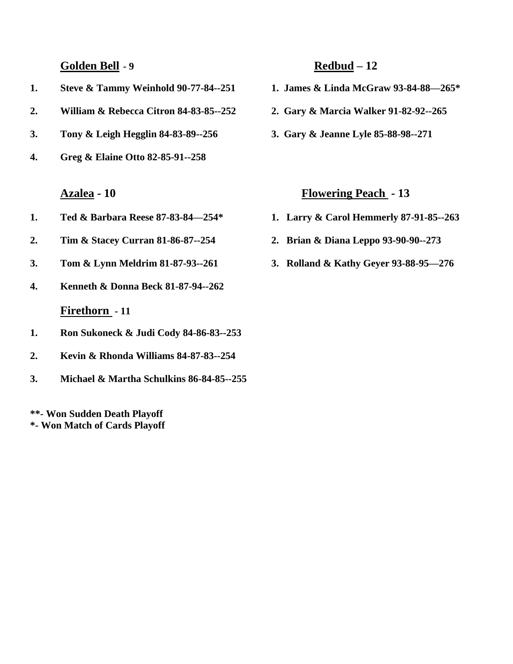**Golden Bell - 9 Redbud – 12**

- **1. Steve & Tammy Weinhold 90-77-84--251 1. James & Linda McGraw 93-84-88—265\***
- **2. William & Rebecca Citron 84-83-85--252 2. Gary & Marcia Walker 91-82-92--265**
- **3. Tony & Leigh Hegglin 84-83-89--256 3. Gary & Jeanne Lyle 85-88-98--271**
- **4. Greg & Elaine Otto 82-85-91--258**

- **1. Ted & Barbara Reese 87-83-84—254\* 1. Larry & Carol Hemmerly 87-91-85--263**
- **2. Tim & Stacey Curran 81-86-87--254 2. Brian & Diana Leppo 93-90-90--273**
- **3. Tom & Lynn Meldrim 81-87-93--261 3. Rolland & Kathy Geyer 93-88-95—276**
- **4. Kenneth & Donna Beck 81-87-94--262**

# **Firethorn - 11**

- **1. Ron Sukoneck & Judi Cody 84-86-83--253**
- **2. Kevin & Rhonda Williams 84-87-83--254**
- **3. Michael & Martha Schulkins 86-84-85--255**

**\*\*- Won Sudden Death Playoff \*- Won Match of Cards Playoff**

- 
- 
- 

# **Azalea - 10 Flowering Peach - 13**

- 
- 
-